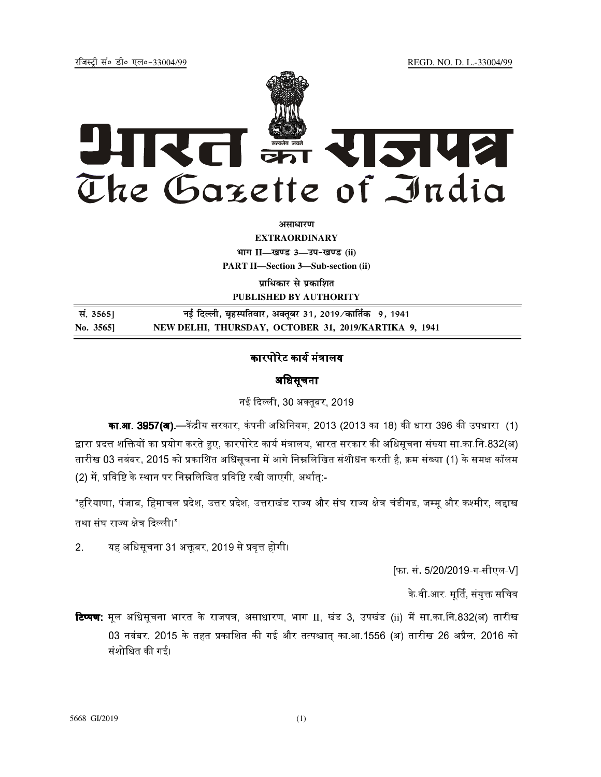REGD. NO. D. L.-33004/99

रजिस्टी सं० डी० एल०-33004/99



अमाधारण

**EXTRAORDINARY** भाग II-खण्ड 3-उप-खण्ड (ii) **PART II-Section 3-Sub-section (ii)** 

प्राधिकार से प्रकाशित PUBLISHED BY AUTHORITY

नई दिल्ली, बृहस्पतिवार, अक्तूबर 31, 2019⁄कार्तिक 9, 1941 सं. 3565] NEW DELHI, THURSDAY, OCTOBER 31, 2019/KARTIKA 9, 1941 No. 3565]

# कारपोरेट कार्य मंत्रालय

## अधिसूचना

नई दिल्ली, 30 अक्तुबर, 2019

**का.आ. 3957(अ).—**केंद्रीय सरकार, कंपनी अधिनियम, 2013 (2013 का 18) की धारा 396 की उपधारा (1) द्वारा प्रदत्त शक्तियों का प्रयोग करते हुए, कारपोरेट कार्य मंत्रालय, भारत सरकार की अधिसूचना संख्या सा का नि.832(अ) तारीख 03 नवंबर, 2015 को प्रकाशित अधिसृचना में आगे निम्नलिखित संशोधन करती है, क्रम संख्या (1) के समक्ष कॉलम (2) में, प्रविष्टि के स्थान पर निम्नलिखित प्रविष्टि रखी जाएगी, अर्थातु:-

"हरियाणा, पंजाब, हिमाचल प्रदेश, उत्तर प्रदेश, उत्तराखंड राज्य और संघ राज्य क्षेत्र चंडीगढ, जम्मू और कश्मीर, लद्दाख तथा संघ राज्य क्षेत्र दिल्ली।"।

यह अधिसूचना 31 अक्तूबर, 2019 से प्रवृत्त होगी।  $2<sub>1</sub>$ 

[फा. सं. 5/20/2019-ग-सीएल-V]

के वी आर. मूर्ति, संयुक्त सचिव

**टिप्पण**: मूल अधिसूचना भारत के राजपत्र, असाधारण, भाग II, खंड 3, उपखंड (ii) में सा.का.नि.832(अ) तारीख 03 नवंबर, 2015 के तहत प्रकाशित की गई और तत्पश्चात का.आ.1556 (अ) तारीख 26 अप्रैल, 2016 को संशोधित की गई।